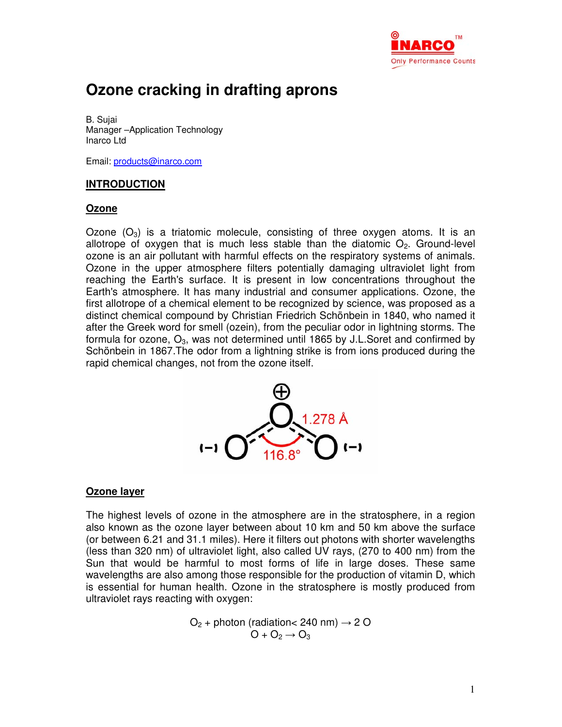

# **Ozone cracking in drafting aprons**

B. Sujai Manager –Application Technology Inarco Ltd

Email: products@inarco.com

## **INTRODUCTION**

#### **Ozone**

Ozone  $(O_3)$  is a triatomic molecule, consisting of three oxygen atoms. It is an allotrope of oxygen that is much less stable than the diatomic  $O<sub>2</sub>$ . Ground-level ozone is an air pollutant with harmful effects on the respiratory systems of animals. Ozone in the upper atmosphere filters potentially damaging ultraviolet light from reaching the Earth's surface. It is present in low concentrations throughout the Earth's atmosphere. It has many industrial and consumer applications. Ozone, the first allotrope of a chemical element to be recognized by science, was proposed as a distinct chemical compound by Christian Friedrich Schönbein in 1840, who named it after the Greek word for smell (ozein), from the peculiar odor in lightning storms. The formula for ozone,  $O_3$ , was not determined until 1865 by J.L.Soret and confirmed by Schönbein in 1867.The odor from a lightning strike is from ions produced during the rapid chemical changes, not from the ozone itself.



#### **Ozone layer**

The highest levels of ozone in the atmosphere are in the stratosphere, in a region also known as the ozone layer between about 10 km and 50 km above the surface (or between 6.21 and 31.1 miles). Here it filters out photons with shorter wavelengths (less than 320 nm) of ultraviolet light, also called UV rays, (270 to 400 nm) from the Sun that would be harmful to most forms of life in large doses. These same wavelengths are also among those responsible for the production of vitamin D, which is essential for human health. Ozone in the stratosphere is mostly produced from ultraviolet rays reacting with oxygen:

> $O<sub>2</sub>$  + photon (radiation < 240 nm)  $\rightarrow$  2 O  $O + O_2 \rightarrow O_3$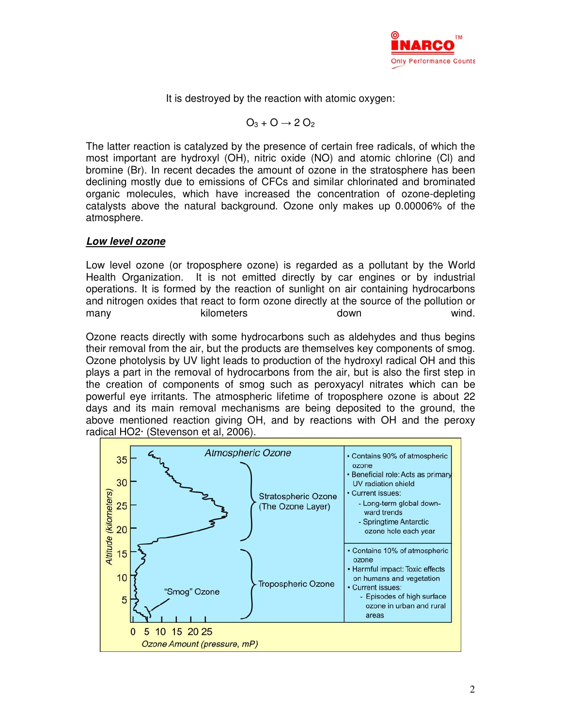

It is destroyed by the reaction with atomic oxygen:

$$
O_3 + O \rightarrow 2 O_2
$$

The latter reaction is catalyzed by the presence of certain free radicals, of which the most important are hydroxyl (OH), nitric oxide (NO) and atomic chlorine (Cl) and bromine (Br). In recent decades the amount of ozone in the stratosphere has been declining mostly due to emissions of CFCs and similar chlorinated and brominated organic molecules, which have increased the concentration of ozone-depleting catalysts above the natural background. Ozone only makes up 0.00006% of the atmosphere.

#### **Low level ozone**

Low level ozone (or troposphere ozone) is regarded as a pollutant by the World Health Organization. It is not emitted directly by car engines or by industrial operations. It is formed by the reaction of sunlight on air containing hydrocarbons and nitrogen oxides that react to form ozone directly at the source of the pollution or many many kilometers and down wind.

Ozone reacts directly with some hydrocarbons such as aldehydes and thus begins their removal from the air, but the products are themselves key components of smog. Ozone photolysis by UV light leads to production of the hydroxyl radical OH and this plays a part in the removal of hydrocarbons from the air, but is also the first step in the creation of components of smog such as peroxyacyl nitrates which can be powerful eye irritants. The atmospheric lifetime of troposphere ozone is about 22 days and its main removal mechanisms are being deposited to the ground, the above mentioned reaction giving OH, and by reactions with OH and the peroxy radical HO2· (Stevenson et al, 2006).

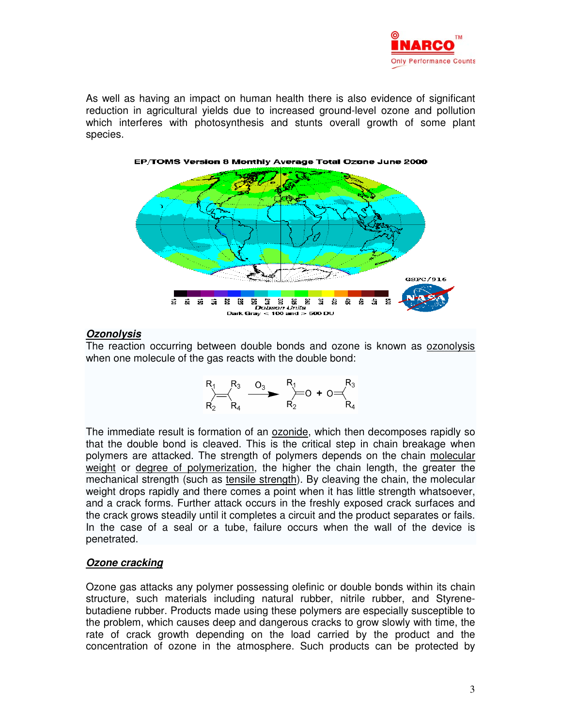

As well as having an impact on human health there is also evidence of significant reduction in agricultural yields due to increased ground-level ozone and pollution which interferes with photosynthesis and stunts overall growth of some plant species.



## **Ozonolysis**

The reaction occurring between double bonds and ozone is known as ozonolysis when one molecule of the gas reacts with the double bond:

$$
R_1
$$
  $R_3$   $R_3$   $R_1$   $R_2$   $R_4$   $R_2$   $R_3$   $R_4$ 

The immediate result is formation of an ozonide, which then decomposes rapidly so that the double bond is cleaved. This is the critical step in chain breakage when polymers are attacked. The strength of polymers depends on the chain molecular weight or degree of polymerization, the higher the chain length, the greater the mechanical strength (such as tensile strength). By cleaving the chain, the molecular weight drops rapidly and there comes a point when it has little strength whatsoever, and a crack forms. Further attack occurs in the freshly exposed crack surfaces and the crack grows steadily until it completes a circuit and the product separates or fails. In the case of a seal or a tube, failure occurs when the wall of the device is penetrated.

#### **Ozone cracking**

Ozone gas attacks any polymer possessing olefinic or double bonds within its chain structure, such materials including natural rubber, nitrile rubber, and Styrenebutadiene rubber. Products made using these polymers are especially susceptible to the problem, which causes deep and dangerous cracks to grow slowly with time, the rate of crack growth depending on the load carried by the product and the concentration of ozone in the atmosphere. Such products can be protected by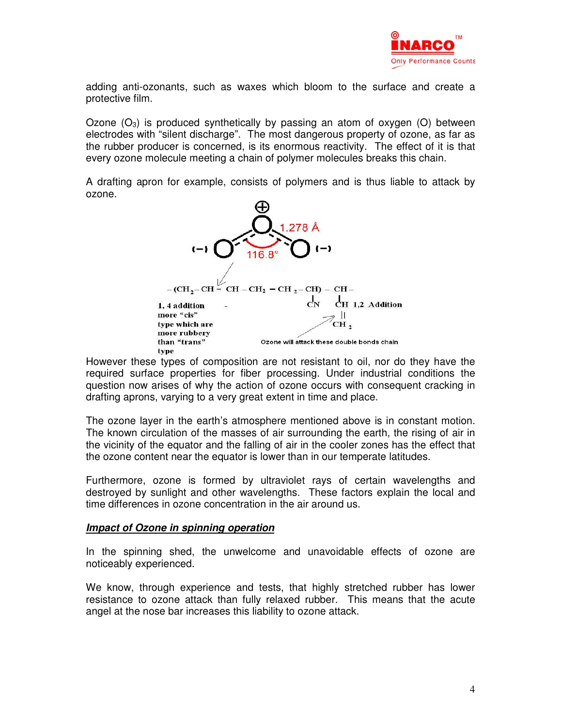

adding anti-ozonants, such as waxes which bloom to the surface and create a protective film.

Ozone  $(O_3)$  is produced synthetically by passing an atom of oxygen  $(O)$  between electrodes with "silent discharge". The most dangerous property of ozone, as far as the rubber producer is concerned, is its enormous reactivity. The effect of it is that every ozone molecule meeting a chain of polymer molecules breaks this chain.

A drafting apron for example, consists of polymers and is thus liable to attack by ozone.



However these types of composition are not resistant to oil, nor do they have the required surface properties for fiber processing. Under industrial conditions the question now arises of why the action of ozone occurs with consequent cracking in drafting aprons, varying to a very great extent in time and place.

The ozone layer in the earth's atmosphere mentioned above is in constant motion. The known circulation of the masses of air surrounding the earth, the rising of air in the vicinity of the equator and the falling of air in the cooler zones has the effect that the ozone content near the equator is lower than in our temperate latitudes.

Furthermore, ozone is formed by ultraviolet rays of certain wavelengths and destroyed by sunlight and other wavelengths. These factors explain the local and time differences in ozone concentration in the air around us.

#### **Impact of Ozone in spinning operation**

In the spinning shed, the unwelcome and unavoidable effects of ozone are noticeably experienced.

We know, through experience and tests, that highly stretched rubber has lower resistance to ozone attack than fully relaxed rubber. This means that the acute angel at the nose bar increases this liability to ozone attack.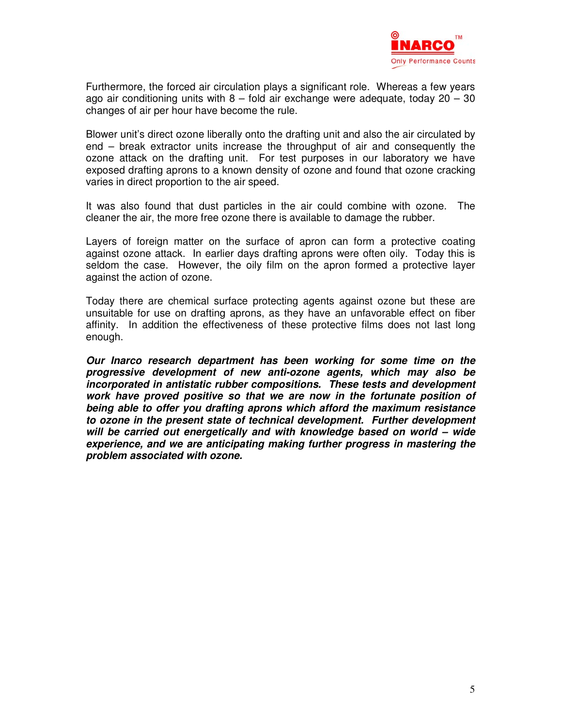

Furthermore, the forced air circulation plays a significant role. Whereas a few years ago air conditioning units with  $8 -$  fold air exchange were adequate, today  $20 - 30$ changes of air per hour have become the rule.

Blower unit's direct ozone liberally onto the drafting unit and also the air circulated by end – break extractor units increase the throughput of air and consequently the ozone attack on the drafting unit. For test purposes in our laboratory we have exposed drafting aprons to a known density of ozone and found that ozone cracking varies in direct proportion to the air speed.

It was also found that dust particles in the air could combine with ozone. The cleaner the air, the more free ozone there is available to damage the rubber.

Layers of foreign matter on the surface of apron can form a protective coating against ozone attack. In earlier days drafting aprons were often oily. Today this is seldom the case. However, the oily film on the apron formed a protective layer against the action of ozone.

Today there are chemical surface protecting agents against ozone but these are unsuitable for use on drafting aprons, as they have an unfavorable effect on fiber affinity. In addition the effectiveness of these protective films does not last long enough.

**Our Inarco research department has been working for some time on the progressive development of new anti-ozone agents, which may also be incorporated in antistatic rubber compositions. These tests and development work have proved positive so that we are now in the fortunate position of being able to offer you drafting aprons which afford the maximum resistance to ozone in the present state of technical development. Further development will be carried out energetically and with knowledge based on world – wide experience, and we are anticipating making further progress in mastering the problem associated with ozone.**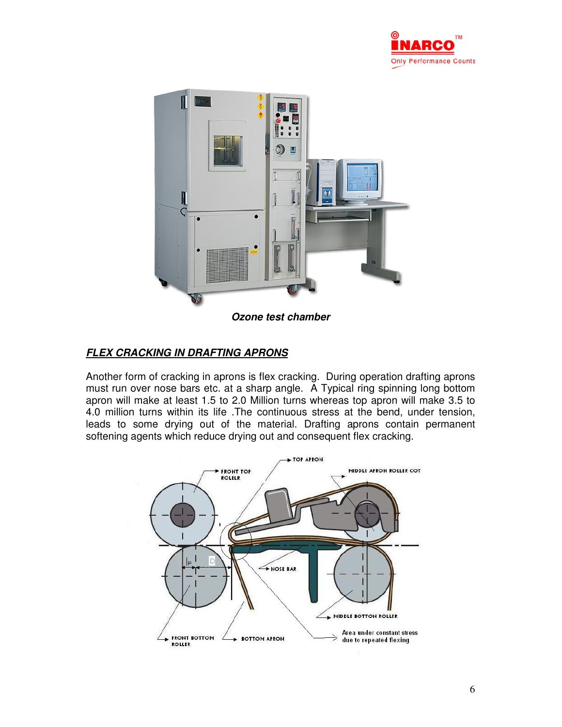



## **Ozone test chamber**

# **FLEX CRACKING IN DRAFTING APRONS**

Another form of cracking in aprons is flex cracking. During operation drafting aprons must run over nose bars etc. at a sharp angle. A Typical ring spinning long bottom apron will make at least 1.5 to 2.0 Million turns whereas top apron will make 3.5 to 4.0 million turns within its life .The continuous stress at the bend, under tension, leads to some drying out of the material. Drafting aprons contain permanent softening agents which reduce drying out and consequent flex cracking.